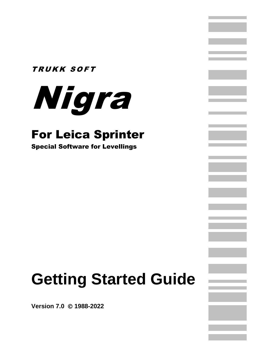### TRUKK SOFT



### For Leica Sprinter

Special Software for Levellings

# **Getting Started Guide**

**Version 7.0** © **1988-2022**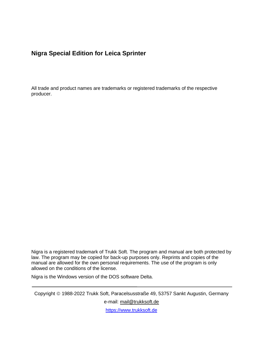#### **Nigra Special Edition for Leica Sprinter**

All trade and product names are trademarks or registered trademarks of the respective producer.

Nigra is a registered trademark of Trukk Soft. The program and manual are both protected by law. The program may be copied for back-up purposes only. Reprints and copies of the manual are allowed for the own personal requirements. The use of the program is only allowed on the conditions of the license.

Nigra is the Windows version of the DOS software Delta.

Copyright © 1988-2022 Trukk Soft, Paracelsusstraße 49, 53757 Sankt Augustin, Germany

e-mail: [mail@trukksoft.de](mailto:mail@trukksoft.de)

[https://www.trukksoft.de](https://www.trukksoft.de/)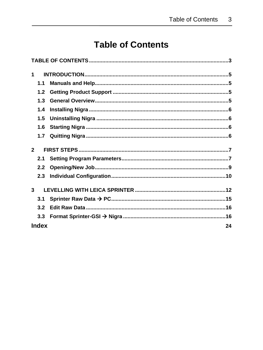### **Table of Contents**

<span id="page-2-0"></span>

| 1              |     |  |
|----------------|-----|--|
|                | 1.1 |  |
|                |     |  |
|                | 1.2 |  |
|                | 1.3 |  |
|                | 1.4 |  |
|                | 1.5 |  |
|                | 1.6 |  |
|                | 1.7 |  |
| 2 <sup>1</sup> |     |  |
|                | 2.1 |  |
|                | 2.2 |  |
|                |     |  |
|                | 2.3 |  |
| 3 <sup>1</sup> |     |  |
|                | 3.1 |  |
|                | 3.2 |  |
|                | 3.3 |  |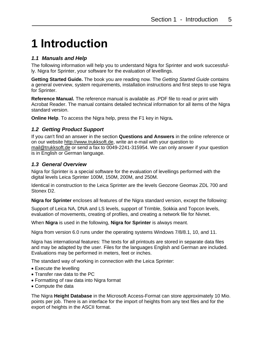# <span id="page-4-0"></span>**1 Introduction**

#### <span id="page-4-1"></span>*1.1 Manuals and Help*

The following information will help you to understand Nigra for Sprinter and work successfully. Nigra for Sprinter, your software for the evaluation of levellings.

**Getting Started Guide.** The book you are reading now. The *Getting Started Guide* contains a general overview, system requirements, installation instructions and first steps to use Nigra for Sprinter.

**Reference Manual.** The reference manual is available as .PDF file to read or print with Acrobat Reader. The manual contains detailed technical information for all items of the Nigra standard version.

**Online Help**. To access the Nigra help, press the F1 key in Nigra**.**

#### <span id="page-4-2"></span>*1.2 Getting Product Support*

If you can't find an answer in the section **Questions and Answers** in the online reference or on our website [http://www.trukksoft.de,](http://www.trukksoft.de/) write an e-mail with your question to [mail@trukksoft.de](mailto:mail@trukksoft.de) or send a fax to 0049-2241-315954. We can only answer if your question is in English or German language.

#### <span id="page-4-3"></span>*1.3 General Overview*

Nigra for Sprinter is a special software for the evaluation of levellings performed with the digital levels Leica Sprinter 100M, 150M, 200M, and 250M.

Identical in construction to the Leica Sprinter are the levels Geozone Geomax ZDL 700 and Stonex D2.

**Nigra for Sprinter** encloses all features of the Nigra standard version, except the following:

Support of Leica NA, DNA and LS levels, support of Trimble, Sokkia and Topcon levels, evaluation of movements, creating of profiles, and creating a network file for Nivnet.

When **Nigra** is used in the following, **Nigra for Sprinter** is always meant.

Nigra from version 6.0 runs under the operating systems Windows 7/8/8.1, 10, and 11.

Nigra has international features: The texts for all printouts are stored in separate data files and may be adapted by the user. Files for the languages English and German are included. Evaluations may be performed in meters, feet or inches.

The standard way of working in connection with the Leica Sprinter:

- Execute the levelling
- Transfer raw data to the PC
- Formatting of raw data into Nigra format
- Compute the data

The Nigra **Height Database** in the Microsoft Access-Format can store approximately 10 Mio. points per job. There is an interface for the import of heights from any text files and for the export of heights in the ASCII format.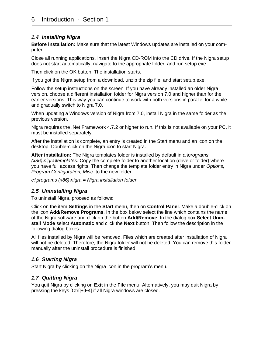#### <span id="page-5-0"></span>*1.4 Installing Nigra*

**Before installation:** Make sure that the latest Windows updates are installed on your computer.

Close all running applications. Insert the Nigra CD-ROM into the CD drive. If the Nigra setup does not start automatically, navigate to the appropriate folder, and run setup.exe.

Then click on the OK button. The installation starts.

If you got the Nigra setup from a download, unzip the zip file, and start setup.exe.

Follow the setup instructions on the screen. If you have already installed an older Nigra version, choose a different installation folder for Nigra version 7.0 and higher than for the earlier versions. This way you can continue to work with both versions in parallel for a while and gradually switch to Nigra 7.0.

When updating a Windows version of Nigra from 7.0, install Nigra in the same folder as the previous version.

Nigra requires the .Net Framework 4.7.2 or higher to run. If this is not available on your PC, it must be installed separately.

After the installation is complete, an entry is created in the Start menu and an icon on the desktop. Double-click on the Nigra icon to start Nigra.

**After installation:** The Nigra templates folder is installed by default in *c:\programs (x86)\nigra\templates*. Copy the complete folder to another location (drive or folder) where you have full access rights. Then change the template folder entry in Nigra under *Options, Program Configuration, Misc.* to the new folder.

*c:\programs (x86)\nigra = Nigra installation folder*

#### <span id="page-5-1"></span>*1.5 Uninstalling Nigra*

To uninstall Nigra, proceed as follows:

Click on the item **Settings** in the **Start** menu, then on **Control Panel**. Make a double-click on the icon **Add/Remove Programs**. In the box below select the line which contains the name of the Nigra software and click on the button **Add/Remove**. In the dialog box **Select Uninstall Mode** select **Automatic** and click the **Next** button. Then follow the description in the following dialog boxes.

All files installed by Nigra will be removed. Files which are created after installation of Nigra will not be deleted. Therefore, the Nigra folder will not be deleted. You can remove this folder manually after the uninstall procedure is finished.

#### <span id="page-5-2"></span>*1.6 Starting Nigra*

Start Nigra by clicking on the Nigra icon in the program's menu.

#### <span id="page-5-3"></span>*1.7 Quitting Nigra*

You quit Nigra by clicking on **Exit** in the **File** menu. Alternatively, you may quit Nigra by pressing the keys [Ctrl]+[F4] if all Nigra windows are closed.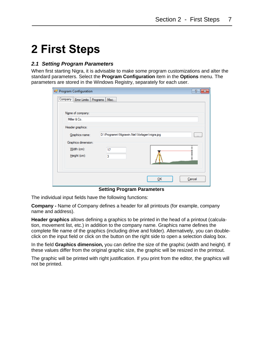## <span id="page-6-0"></span>**2 First Steps**

#### <span id="page-6-1"></span>*2.1 Setting Program Parameters*

When first starting Nigra, it is advisable to make some program customizations and alter the standard parameters. Select the **Program Configuration** item in the **Options** menu. The parameters are stored in the Windows Registry, separately for each user.

| <b>Program Configuration</b>                                                   |                                             |    | P        |
|--------------------------------------------------------------------------------|---------------------------------------------|----|----------|
| ,,,,,,,,,,,,,,,,,,,,,,,,,<br>Company Error Limits Programs<br>Name of company: | Misc.                                       |    |          |
| Miller & Co.                                                                   |                                             |    |          |
| Header graphics:                                                               |                                             |    |          |
| Graphics name:                                                                 | D:\Programm\Nigrawin.Net\Vorlagen\nigra.jpg |    | $\cdots$ |
| Graphics dimension:<br>Width (cm):<br>Height (cm):                             | 17<br>3                                     |    |          |
|                                                                                |                                             | OK | Cancel   |

**Setting Program Parameters**

The individual input fields have the following functions:

**Company -** Name of Company defines a header for all printouts (for example, company name and address).

**Header graphics** allows defining a graphics to be printed in the head of a printout (calculation, movement list, etc.) in addition to the company name. Graphics name defines the complete file name of the graphics (including drive and folder). Alternatively, you can doubleclick on the input field or click on the button on the right side to open a selection dialog box.

In the field **Graphics dimension,** you can define the size of the graphic (width and height). If these values differ from the original graphic size, the graphic will be resized in the printout.

The graphic will be printed with right justification. If you print from the editor, the graphics will not be printed.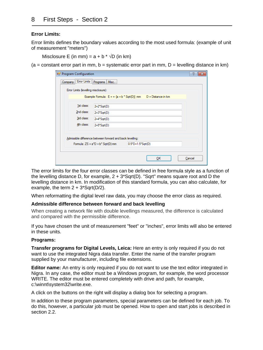#### **Error Limits:**

Error limits defines the boundary values according to the most used formula: (example of unit of measurement "meters")

Misclosure E (in mm) =  $a + b * \sqrt{D}$  (in km)

 $(a = constant error part in mm, b = systematic error part in mm, D = levelling distance in km)$ 

|  | Program Configuration                |                                                                      |                                      |    | 7<br>Ж |
|--|--------------------------------------|----------------------------------------------------------------------|--------------------------------------|----|--------|
|  | Company Error Limits Programs        | Misc.                                                                |                                      |    |        |
|  | Error Limits (levelling misclosure): |                                                                      |                                      |    |        |
|  |                                      | Example Formula: $E = +$ [a + b $*$ Sqrt(D)] mm   D = Distance in km |                                      |    |        |
|  | 1st class:                           | $2+2$ <sup>*</sup> Sqrt(D)                                           |                                      |    |        |
|  | 2nd class:                           | $2+3$ <sup>*</sup> Sqrt(D)                                           |                                      |    |        |
|  | 3rd class:                           | $2+4$ <sup>-</sup> Sqrt(D)                                           |                                      |    |        |
|  | 4th class:                           | $2+5$ <sup>*</sup> Sqrt(D)                                           |                                      |    |        |
|  |                                      |                                                                      |                                      |    |        |
|  |                                      | Admissible difference between forward and back levelling:            |                                      |    |        |
|  |                                      | Formula: $ZS = a^*D + b^* Sqrt(D)$ mm                                | $0.5^{\circ}D + 1.5^{\circ}S$ grt(D) |    |        |
|  |                                      |                                                                      |                                      |    |        |
|  |                                      |                                                                      |                                      | ок | Cancel |
|  |                                      |                                                                      |                                      |    |        |

The error limits for the four error classes can be defined in free formula style as a function of the levelling distance D, for example,  $2 + 3$ \*Sqrt(D). "Sqrt" means square root and D the levelling distance in km. In modification of this standard formula, you can also calculate, for example, the term  $2 + 3*$ Sqrt(D/2).

When reformatting the digital level raw data, you may choose the error class as required.

#### **Admissible difference between forward and back levelling**

When creating a network file with double levellings measured, the difference is calculated and compared with the permissible difference.

If you have chosen the unit of measurement "feet" or "inches", error limits will also be entered in these units.

#### **Programs:**

**Transfer programs for Digital Levels, Leica:** Here an entry is only required if you do not want to use the integrated Nigra data transfer. Enter the name of the transfer program supplied by your manufacturer, including file extensions.

**Editor name:** An entry is only required if you do not want to use the text editor integrated in Nigra. In any case, the editor must be a Windows program, for example, the word processor WRITE. The editor must be entered completely with drive and path, for example, c:\winnt\system32\write.exe.

A click on the buttons on the right will display a dialog box for selecting a program.

In addition to these program parameters, special parameters can be defined for each job. To do this, however, a particular job must be opened. How to open and start jobs is described in section 2.2.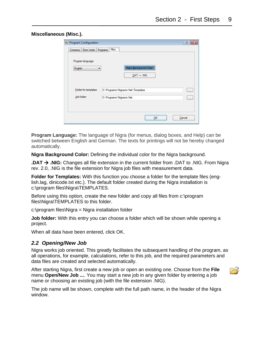| Miscellaneous (Misc.). |  |
|------------------------|--|
|------------------------|--|

| <b>Program Configuration</b>      |                          |                                    | $\mathcal{P}$ |
|-----------------------------------|--------------------------|------------------------------------|---------------|
| Company   Error Limits   Programs | Misc.                    |                                    |               |
| Program language:                 |                          |                                    |               |
| English                           | ▼                        | Nigra Background Color             |               |
|                                   |                          | $.DAT \rightarrow NIG$             |               |
|                                   |                          |                                    |               |
| Folder for templates:             |                          | D:\Programm\Nigrawin.Net\Templates | $\cdots$      |
| Job folder:                       | D:\Programm\Nigrawin.Net |                                    | $\cdots$      |
|                                   |                          |                                    |               |
|                                   |                          |                                    |               |
|                                   |                          | OK                                 | Cancel        |

**Program Language:** The language of Nigra (for menus, dialog boxes, and Help) can be switched between English and German. The texts for printings will not be hereby changed automatically.

**Nigra Background Color:** Defining the individual color for the Nigra background.

**.DAT** → **.NIG:** Changes all file extension in the current folder from .DAT to .NIG. From Nigra rev. 2.0, .NIG is the file extension for Nigra job files with measurement data.

**Folder for Templates:** With this function you choose a folder for the template files (english.lag, dinicode.txt etc.). The default folder created during the Nigra installation is c:\program files\Nigra\TEMPLATES.

Before using this option, create the new folder and copy all files from c:\program files\Nigra\TEMPLATES to this folder.

c:\program files\Nigra = Nigra installation folder

**Job folder:** With this entry you can choose a folder which will be shown while opening a project.

When all data have been entered, click OK.

#### <span id="page-8-0"></span>*2.2 Opening/New Job*

Nigra works job oriented. This greatly facilitates the subsequent handling of the program, as all operations, for example, calculations, refer to this job, and the required parameters and data files are created and selected automatically.

After starting Nigra, first create a new job or open an existing one. Choose from the **File** menu **Open/New Job ...**. You may start a new job in any given folder by entering a job name or choosing an existing job (with the file extension .NIG).



The job name will be shown, complete with the full path name, in the header of the Nigra window.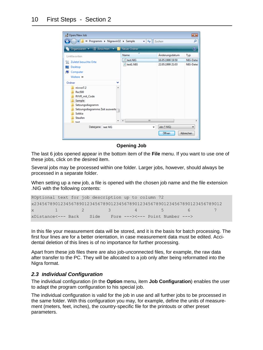

#### **Opening Job**

The last 6 jobs opened appear in the bottom item of the **File** menu. If you want to use one of these jobs, click on the desired item.

Several jobs may be processed within one folder. Larger jobs, however, should always be processed in a separate folder.

When setting up a new job, a file is opened with the chosen job name and the file extension .NIG with the following contents:

```
ROptional text for job description up to column 72 
x23456789012345678901234567890123456789012345678901234567890123456789012 
x 1 2 3 4 5 6 7
xDistance<--- Back Side Fore ---><--- Point Number --->
```
In this file your measurement data will be stored, and it is the basis for batch processing. The first four lines are for a better orientation, in case measurement data must be edited. Accidental deletion of this lines is of no importance for further processing.

Apart from these job files there are also job-unconnected files, for example, the raw data after transfer to the PC. They will be allocated to a job only after being reformatted into the Nigra format.

#### <span id="page-9-0"></span>*2.3 Individual Configuration*

The individual configuration (in the **Option** menu, item **Job Configuration**) enables the user to adapt the program configuration to his special job.

The individual configuration is valid for the job in use and all further jobs to be processed in the same folder. With this configuration you may, for example, define the units of measurement (meters, feet, inches), the country-specific file for the printouts or other preset parameters.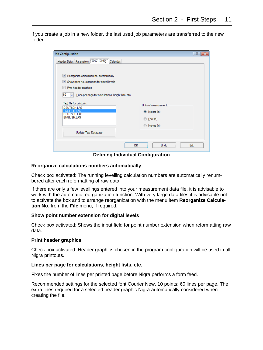If you create a job in a new folder, the last used job parameters are transferred to the new folder.

| Job Configuration                                                                                                                                                                    | $\mathcal{P}$<br>$-23$                                                       |
|--------------------------------------------------------------------------------------------------------------------------------------------------------------------------------------|------------------------------------------------------------------------------|
| Header Data   Parameters   Indiv. Config.   Calendar                                                                                                                                 |                                                                              |
| V Reorganize calculation no. automatically<br>Show point no. extension for digital levels<br>Print header graphics<br>60<br>싂<br>Lines per page for calculations, height lists, etc. |                                                                              |
| Text file for printouts:<br><b>DEUTSCH.LAG</b><br>GLISH LAG<br>F<br>DEUTSCH.LAG<br><b>ENGLISH.LAG</b><br>Update Text Database                                                        | Units of measurement:<br>O Meters (m)<br><b>Eet (ft)</b><br>Inches (in)<br>∩ |
|                                                                                                                                                                                      |                                                                              |
|                                                                                                                                                                                      | QK<br>Undo<br>Exit                                                           |

**Defining Individual Configuration**

#### **Reorganize calculations numbers automatically**

Check box activated: The running levelling calculation numbers are automatically renumbered after each reformatting of raw data.

If there are only a few levellings entered into your measurement data file, it is advisable to work with the automatic reorganization function. With very large data files it is advisable not to activate the box and to arrange reorganization with the menu item **Reorganize Calculation No.** from the **File** menu, if required.

#### **Show point number extension for digital levels**

Check box activated: Shows the input field for point number extension when reformatting raw data.

#### **Print header graphics**

Check box activated: Header graphics chosen in the program configuration will be used in all Nigra printouts.

#### **Lines per page for calculations, height lists, etc.**

Fixes the number of lines per printed page before Nigra performs a form feed.

Recommended settings for the selected font Courier New, 10 points: 60 lines per page. The extra lines required for a selected header graphic Nigra automatically considered when creating the file.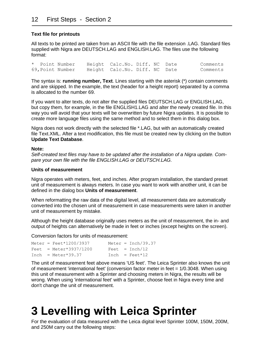#### **Text file for printouts**

All texts to be printed are taken from an ASCII file with the file extension .LAG. Standard files supplied with Nigra are DEUTSCH.LAG and ENGLISH.LAG. The files use the following format:

\* Point Number Height Calc.No. Diff. NC Date Comments 69,Point Number Height Calc.No. Diff. NC Date Comments

The syntax is: **running number, Text**. Lines starting with the asterisk (\*) contain comments and are skipped. In the example, the text (header for a height report) separated by a comma is allocated to the number 69.

If you want to alter texts, do not alter the supplied files DEUTSCH.LAG or ENGLISH.LAG, but copy them, for example, in the file ENGLISH1.LAG and alter the newly created file. In this way you will avoid that your texts will be overwritten by future Nigra updates. It is possible to create more language files using the same method and to select them in this dialog box.

Nigra does not work directly with the selected file \*.LAG, but with an automatically created file Text.XML. After a text modification, this file must be created new by clicking on the button **Update Text Database**.

#### **Note:**

*Self-created text files may have to be updated after the installation of a Nigra update. Compare your own file with the file ENGLISH.LAG or DEUTSCH.LAG.*

#### **Units of measurement**

Nigra operates with meters, feet, and inches. After program installation, the standard preset unit of measurement is always meters. In case you want to work with another unit, it can be defined in the dialog box **Units of measurement**.

When reformatting the raw data of the digital level, all measurement data are automatically converted into the chosen unit of measurement in case measurements were taken in another unit of measurement by mistake.

Although the height database originally uses meters as the unit of measurement, the in- and output of heights can alternatively be made in feet or inches (except heights on the screen).

Conversion factors for units of measurement:

```
Meter = \text{Feet*1200}/3937 Meter = \text{Inch}/39.37Fect = Meter*3937/1200 Feet = Inch/12Inch = \text{Meter*39.37} Inch = Feet*12
```
The unit of measurement feet above means 'US feet'. The Leica Sprinter also knows the unit of measurement 'international feet' (conversion factor meter in feet = 1/0.3048. When using this unit of measurement with a Sprinter and choosing meters in Nigra, the results will be wrong. When using 'international feet' with a Sprinter, choose feet in Nigra every time and don't change the unit of measurement.

## <span id="page-11-0"></span>**3 Levelling with Leica Sprinter**

For the evaluation of data measured with the Leica digital level Sprinter 100M, 150M, 200M, and 250M carry out the following steps: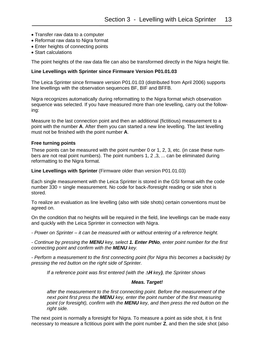- Transfer raw data to a computer
- Reformat raw data to Nigra format
- Enter heights of connecting points
- Start calculations

The point heights of the raw data file can also be transformed directly in the Nigra height file.

#### **Line Levellings with Sprinter since Firmware Version P01.01.03**

The Leica Sprinter since firmware version P01.01.03 (distributed from April 2006) supports line levellings with the observation sequences BF, BIF and BFFB.

Nigra recognizes automatically during reformatting to the Nigra format which observation sequence was selected. If you have measured more than one levelling, carry out the following:

Measure to the last connection point and then an additional (fictitious) measurement to a point with the number **A**. After them you can started a new line levelling. The last levelling must not be finished with the point number **A**.

#### **Free turning points**

These points can be measured with the point number 0 or 1, 2, 3, etc. (in case these numbers are not real point numbers). The point numbers 1, 2 ,3, ... can be eliminated during reformatting to the Nigra format.

**Line Levellings with Sprinter** (Firmware older than version P01.01.03)

Each single measurement with the Leica Sprinter is stored in the GSI format with the code number 330 = single measurement. No code for back-/foresight reading or side shot is stored.

To realize an evaluation as line levelling (also with side shots) certain conventions must be agreed on.

On the condition that no heights will be required in the field, line levellings can be made easy and quickly with the Leica Sprinter in connection with Nigra.

*- Power on Sprinter – it can be measured with or without entering of a reference height.*

*- Continue by pressing the MENU key, select 1. Enter PtNo, enter point number for the first connecting point and confirm with the MENU key.*

*- Perform a measurement to the first connecting point (for Nigra this becomes a backside) by pressing the red button on the right side of Sprinter.*

*If a reference point was first entered (with the ∆H key), the Sprinter shows*

#### *Meas. Target!*

*after the measurement to the first connecting point. Before the measurement of the next point first press the MENU key, enter the point number of the first measuring point (or foresight), confirm with the MENU key, and then press the red button on the right side.*

The next point is normally a foresight for Nigra. To measure a point as side shot, it is first necessary to measure a fictitious point with the point number **Z**, and then the side shot (also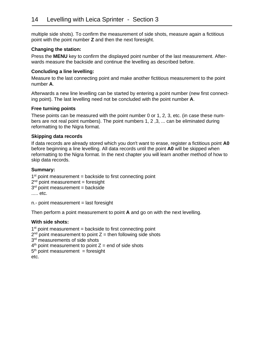multiple side shots). To confirm the measurement of side shots, measure again a fictitious point with the point number **Z** and then the next foresight.

#### **Changing the station:**

Press the **MENU** key to confirm the displayed point number of the last measurement. Afterwards measure the backside and continue the levelling as described before.

#### **Concluding a line levelling:**

Measure to the last connecting point and make another fictitious measurement to the point number **A**.

Afterwards a new line levelling can be started by entering a point number (new first connecting point). The last levelling need not be concluded with the point number **A**.

#### **Free turning points**

These points can be measured with the point number 0 or 1, 2, 3, etc. (in case these numbers are not real point numbers). The point numbers 1, 2 ,3, ... can be eliminated during reformatting to the Nigra format.

#### **Skipping data records**

If data records are already stored which you don't want to erase, register a fictitious point **A0** before beginning a line levelling. All data records until the point **A0** will be skipped when reformatting to the Nigra format. In the next chapter you will learn another method of how to skip data records.

#### **Summary:**

1<sup>st</sup> point measurement = backside to first connecting point 2<sup>nd</sup> point measurement = foresight 3<sup>rd</sup> point measurement = backside ..... etc.

n.- point measurement = last foresight

Then perform a point measurement to point **A** and go on with the next levelling.

#### **With side shots:**

```
1<sup>st</sup> point measurement = backside to first connecting point
2<sup>nd</sup> point measurement to point Z = then following side shots
3<sup>rd</sup> measurements of side shots
4<sup>th</sup> point measurement to point Z = end of side shots
5<sup>th</sup> point measurement = foresight
etc.
```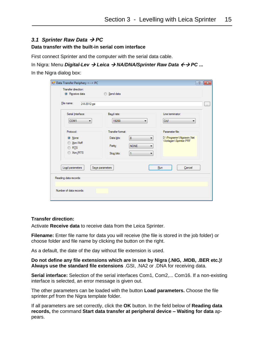#### <span id="page-14-0"></span>*3.1 Sprinter Raw Data* → *PC*

#### **Data transfer with the built-in serial com interface**

First connect Sprinter and the computer with the serial data cable.

In Nigra: Menu *Digital-Lev* → *Leica* → *NA/DNA/Sprinter Raw Data* → *PC* **...** In the Nigra dialog box:

| <b>P.</b> Data Transfer Periphery <--> PC                 |                                                                                            | P.<br>$\ x\ $                                                         |
|-----------------------------------------------------------|--------------------------------------------------------------------------------------------|-----------------------------------------------------------------------|
| Transfer direction:<br>Receive data                       | Send data                                                                                  |                                                                       |
| File name:<br>2-8-2012.gsi                                |                                                                                            | ш.                                                                    |
| Serial Interface:<br>COM1<br>۰                            | Baud rate:<br>19200<br>▼                                                                   | Line terminator:<br>CrLf<br>▼                                         |
| Protocol:<br>O None<br>Xon/Xoff<br>$\circ$ RIS<br>Xon/RTS | Transfer format:<br>8<br>Data bits:<br>۰<br><b>NONE</b><br>Parity:<br>▼<br>Stop bits:<br>▼ | Parameter file:<br>D:\Programm\Nigrawin.Net<br>\Vorlagen\Sprinter.PRF |
| Load parameters<br>Reading data records:                  | Save parameters                                                                            | Run<br>Cancel                                                         |
| Number of data records:                                   |                                                                                            |                                                                       |

#### **Transfer direction:**

Activate **Receive data** to receive data from the Leica Sprinter.

**Filename:** Enter file name for data you will receive (the file is stored in the job folder) or choose folder and file name by clicking the button on the right.

As a default, the date of the day without file extension is used.

**Do not define any file extensions which are in use by Nigra (.NIG, .MDB, .BER etc.)! Always use the standard file extensions** .GSI, .NA2 or .DNA for receiving data.

**Serial interface:** Selection of the serial interfaces Com1, Com2,... Com16. If a non-existing interface is selected, an error message is given out.

The other parameters can be loaded with the button **Load parameters.** Choose the file sprinter.prf from the Nigra template folder.

If all parameters are set correctly, click the **OK** button. In the field below of **Reading data records,** the command **Start data transfer at peripheral device – Waiting for data** appears.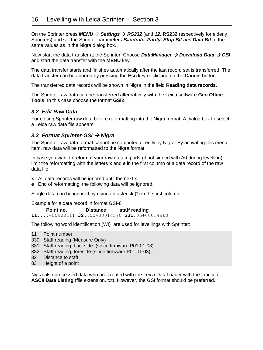On the Sprinter press *MENU* → *Settings* → *RS232* (and *12.* **RS232** respectively for elderly Sprinters) and set the Sprinter parameters *Baudrate, Parity, Stop Bit and Data Bit* to the same values as in the Nigra dialog box.

Now start the data transfer at the Sprinter: Choose *DataManager* → *Download Data* → *GSI* and start the data transfer with the **MENU** key.

The data transfer starts and finishes automatically after the last record set is transferred. The data transfer can be aborted by pressing the **Esc** key or clicking on the **Cancel** button.

The transferred data records will be shown in Nigra in the field **Reading data records**.

The Sprinter raw data can be transferred alternatively with the Leica software **Geo Office Tools**. In this case choose the format **GSI2**.

#### <span id="page-15-0"></span>*3.2 Edit Raw Data*

For editing Sprinter raw data before reformatting into the Nigra format. A dialog box to select a Leica raw data file appears.

#### <span id="page-15-1"></span>*3.3 Format Sprinter-GSI* → *Nigra*

The Sprinter raw data format cannot be computed directly by Nigra. By activating this menu item, raw data will be reformatted to the Nigra format.

In case you want to reformat your raw data in parts (if not signed with A0 during levelling), limit the reformatting with the letters **x** and **e** in the first column of a data record of the raw data file:

- **x** All data records will be ignored until the next x.
- **e** End of reformatting, the following data will be ignored.

Single data can be ignored by using an asterisk (\*) in the first column.

Example for a data record in format GSI-8:

 **Point no. Distance staff reading**

**11....**+00900111 **32**..00+00014570 **331.**06+00014960

The following word identification (WI) are used for levellings with Sprinter:

- 11 Point number
- 330 Staff reading (Measure Only)
- 331 Staff reading, backside (since firmware P01.01.03)
- 332 Staff reading, foreside (since firmware P01.01.03)
- 32 Distance to staff
- 83 Height of a point

Nigra also processed data who are created with the Leica DataLoader with the function **ASCII Data Listing** (file extension. txt). However, the GSI format should be preferred.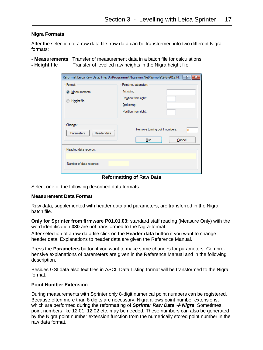#### **Nigra Formats**

After the selection of a raw data file, raw data can be transformed into two different Nigra formats:

- **Measurements** Transfer of measurement data in a batch file for calculations **- Height file** Transfer of levelled raw heights in the Nigra height file

| Format:                                                                | Point no. extension:                               |
|------------------------------------------------------------------------|----------------------------------------------------|
| 1st string:<br>Measurements<br>$\bullet$<br>Height file<br>2nd string: | Position from right:<br>Position from right:       |
| Change:<br>Header data<br>Parameters                                   | Remove tuming point numbers:<br>0<br>Run<br>Cancel |
| Reading data records:                                                  |                                                    |
| Number of data records:                                                |                                                    |

**Reformatting of Raw Data**

Select one of the following described data formats.

#### **Measurement Data Format**

Raw data, supplemented with header data and parameters, are transferred in the Nigra batch file.

**Only for Sprinter from firmware P01.01.03:** standard staff reading (Measure Only) with the word identification **330** are not transformed to the Nigra-format.

After selection of a raw data file click on the **Header data** button if you want to change header data. Explanations to header data are given the Reference Manual.

Press the **Parameters** button if you want to make some changes for parameters. Comprehensive explanations of parameters are given in the Reference Manual and in the following description.

Besides GSI data also text files in ASCII Data Listing format will be transformed to the Nigra format.

#### **Point Number Extension**

During measurements with Sprinter only 8-digit numerical point numbers can be registered. Because often more than 8 digits are necessary, Nigra allows point number extensions, which are performed during the reformatting of **Sprinter Raw Data → Nigra**. Sometimes, point numbers like 12.01, 12.02 etc. may be needed. These numbers can also be generated by the Nigra point number extension function from the numerically stored point number in the raw data format.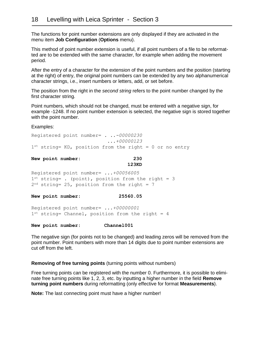The functions for point number extensions are only displayed if they are activated in the menu item **Job Configuration** (**Options** menu).

This method of point number extension is useful, if all point numbers of a file to be reformatted are to be extended with the same character, for example when adding the movement period.

After the entry of a character for the extension of the point numbers and the position (starting at the right) of entry, the original point numbers can be extended by any two alphanumerical character strings, i.e., insert numbers or letters, add, or set before.

The position from the right in the *second string* refers to the point number changed by the first character string.

Point numbers, which should not be changed, must be entered with a negative sign, for example -1248. If no point number extension is selected, the negative sign is stored together with the point number.

Examples:

Registered point number= *. ..-00000230 ...+00000123* 1st string= KD, position from the right = 0 or no entry

#### **New point number: 230 123KD**

Registered point number= *...+00056005* 1<sup>st</sup> string= . (point), position from the right = 3

2<sup>nd</sup> string= 25, position from the right = 7

**New point number: 25560.05**

Registered point number= *...+00000001* 1<sup>st</sup> string= Channel, position from the right = 4

**New point number: Channel001**

The negative sign (for points not to be changed) and leading zeros will be removed from the point number. Point numbers with more than 14 digits due to point number extensions are cut off from the left.

#### **Removing of free turning points** (turning points without numbers)

Free turning points can be registered with the number 0. Furthermore, it is possible to eliminate free turning points like 1, 2, 3, etc. by inputting a higher number in the field **Remove turning point numbers** during reformatting (only effective for format **Measurements**).

**Note:** The last connecting point must have a higher number!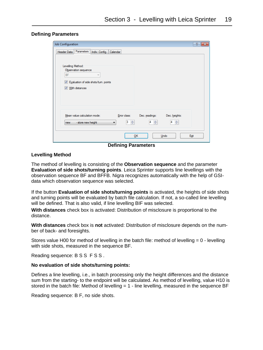#### **Defining Parameters**

| Header Data   Parameters   Indiv. Config.   Calendar<br>Levelling Method:<br>Observation sequence<br><b>BF</b><br>$\overline{\phantom{a}}$<br>Evaluation of side shots/tum. points<br>$\blacktriangledown$<br><b>V</b> With distances<br>Mean value calculation mode:<br>Error class:<br>Dec. readings:<br>Dec. heights:<br>수<br>3<br>÷<br>÷<br>14<br>14<br>- store new height<br>۰<br>new | Job Configuration | P<br>$\  \mathbf{x} \ $ |
|--------------------------------------------------------------------------------------------------------------------------------------------------------------------------------------------------------------------------------------------------------------------------------------------------------------------------------------------------------------------------------------------|-------------------|-------------------------|
|                                                                                                                                                                                                                                                                                                                                                                                            |                   |                         |
|                                                                                                                                                                                                                                                                                                                                                                                            |                   |                         |
|                                                                                                                                                                                                                                                                                                                                                                                            |                   |                         |
|                                                                                                                                                                                                                                                                                                                                                                                            |                   |                         |
|                                                                                                                                                                                                                                                                                                                                                                                            |                   |                         |
|                                                                                                                                                                                                                                                                                                                                                                                            |                   |                         |
|                                                                                                                                                                                                                                                                                                                                                                                            |                   |                         |
|                                                                                                                                                                                                                                                                                                                                                                                            |                   |                         |
|                                                                                                                                                                                                                                                                                                                                                                                            |                   |                         |
|                                                                                                                                                                                                                                                                                                                                                                                            |                   |                         |
|                                                                                                                                                                                                                                                                                                                                                                                            |                   |                         |
|                                                                                                                                                                                                                                                                                                                                                                                            |                   |                         |
|                                                                                                                                                                                                                                                                                                                                                                                            |                   |                         |
|                                                                                                                                                                                                                                                                                                                                                                                            |                   |                         |
| OK<br>Undo<br>Exit                                                                                                                                                                                                                                                                                                                                                                         |                   |                         |

**Defining Parameters**

#### **Levelling Method**

The method of levelling is consisting of the **Observation sequence** and the parameter **Evaluation of side shots/turning points**. Leica Sprinter supports line levellings with the observation sequence BF and BFFB. Nigra recognizes automatically with the help of GSIdata which observation sequence was selected.

If the button **Evaluation of side shots/turning points** is activated, the heights of side shots and turning points will be evaluated by batch file calculation. If not, a so-called line levelling will be defined. That is also valid, if line levelling BIF was selected.

**With distances** check box is activated: Distribution of misclosure is proportional to the distance.

**With distances** check box is **not** activated: Distribution of misclosure depends on the number of back- and foresights.

Stores value H00 for method of levelling in the batch file: method of levelling = 0 - levelling with side shots, measured in the sequence BF.

Reading sequence: B S S F S S .

#### **No evaluation of side shots/turning points:**

Defines a line levelling, i.e., in batch processing only the height differences and the distance sum from the starting- to the endpoint will be calculated. As method of levelling, value H10 is stored in the batch file: Method of levelling  $= 1$  - line levelling, measured in the sequence BF

Reading sequence: B F, no side shots.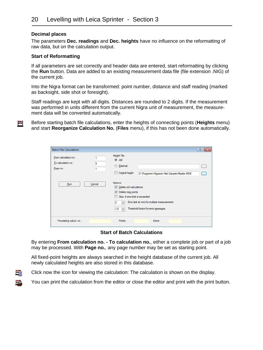#### **Decimal places**

眉

B

The parameters **Dec. readings** and **Dec. heights** have no influence on the reformatting of raw data, but on the calculation output.

#### **Start of Reformatting**

If all parameters are set correctly and header data are entered, start reformatting by clicking the **Run** button. Data are added to an existing measurement data file (file extension .NIG) of the current job.

Into the Nigra format can be transformed: point number, distance and staff reading (marked as backsight, side shot or foresight).

Staff readings are kept with all digits. Distances are rounded to 2 digits. If the measurement was performed in units different from the current Nigra unit of measurement, the measurement data will be converted automatically.

Before starting batch file calculations, enter the heights of connecting points (**Heights** menu) Ħ and start **Reorganize Calculation No.** (**Files** menu), if this has not been done automatically.

| <b>Batch File Calculations</b>                            |        |                                                                                                                                               |                                                                                      | T<br>$\mathbf{x}$ |
|-----------------------------------------------------------|--------|-----------------------------------------------------------------------------------------------------------------------------------------------|--------------------------------------------------------------------------------------|-------------------|
| From calculation no.:<br>To calculation no.:<br>Page no.: | 9      | Height File:<br>O Job<br><b>External</b><br>Central height                                                                                    | D:\Programm\Nigrawin.Net\Sample\Maritim.MDB                                          |                   |
| Run                                                       | Cancel | Options:<br>Delete old calculations<br>Delete new points<br>$\overline{\mathbf{v}}$<br>Stop, if error limit is exceeded<br>2<br>÷<br>수<br>1.0 | Error limit (in mm) for multiple measurements<br>Threshold factor for error messages |                   |
| Processing calcul, no.:                                   |        | Points:                                                                                                                                       | Errors:                                                                              |                   |

**Start of Batch Calculations**

By entering **From calculation no. - To calculation no.**, either a complete job or part of a job may be processed. With **Page no.**, any page number may be set as starting point.

All fixed-point heights are always searched in the height database of the current job. All newly calculated heights are also stored in this database.



You can print the calculation from the editor or close the editor and print with the print button.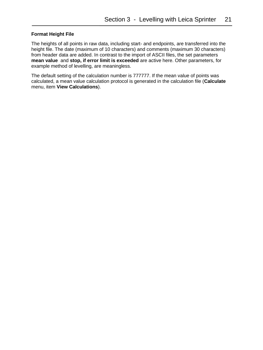#### **Format Height File**

The heights of all points in raw data, including start- and endpoints, are transferred into the height file. The date (maximum of 10 characters) and comments (maximum 30 characters) from header data are added. In contrast to the import of ASCII files, the set parameters **mean value** and **stop, if error limit is exceeded** are active here. Other parameters, for example method of levelling, are meaningless.

The default setting of the calculation number is 777777. If the mean value of points was calculated, a mean value calculation protocol is generated in the calculation file (**Calculate**  menu, item **View Calculations**).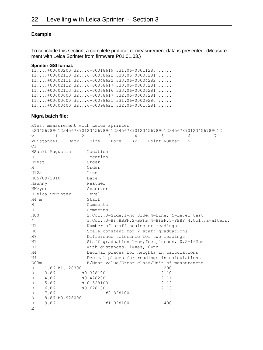#### **Example**

To conclude this section, a complete protocol of measurement data is presented. (Measurement with Leica Sprinter from firmware P01.01.03.)

#### **Sprinter GSI format:**

11....+00000200 32...6+00018619 331.06+00011283 ..... 11....+00002110 32...6+00038622 333.06+00003281 ..... 11....+00002111 32...6+00048622 333.06+00004282 ..... 11....+00002112 32...6+00058617 333.06-00005281 ..... 11....+00002113 32...6+00068616 333.06+00006281 ..... 11....+00000000 32...6+00078617 332.06+00008281 ..... 11....+00000000 32...6+00088621 331.06+00009280 ..... 11....+00000400 32...6+00098621 332.06+00010281 .....

#### **Nigra batch file:**

RTest measurement with Leica Sprinter x23456789012345678901234567890123456789012345678901234567890123456789012 x 1 2 3 4 5 6 7 xDistance<--- Back Side Fore ---><--- Point Number --> C1 HSankt Augustin Location H Location HTest Order H Order H12a Line H05/09/2010 Date Hsunny Weather HMeyer Observer HLeica-Sprinter Level H4 m Staff H Comments H Comments H00 2.Col.:0=Side,1=no Side,4=Line, 5=Level test \* 3.Col.:0=BF,BBFF,2=BFFB,4=BFBF,5=FBBF,4.Col.:a=altern. H1 Number of staff scales or readings H0 Scale constant for 2 staff graduations H7 Difference tolerance for two readings H1 Staff graduation 1=cm,feet,inches, 0.5=1/2cm H1 With distances, 1=yes, 0=no H4 Decimal places for heights in calculations H4 Decimal places for readings in calculations E03m E/Mean value/Error class/Unit of measurement D 1.86 b1.128300 200 D 3.86 s0.328100 2110 D 4.86 s0.428200 2111 D 5.86 s-0.528100 2112 D 6.86 s0.628100 2113 D 7.86 f0.828100 D 8.86 b0.928000 D 9.86 f1.028100 400  $E$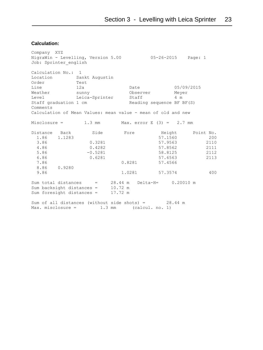#### **Calculation:**

Company XYZ NigraWin - Levelling, Version 5.00 05-26-2015 Page: 1 Job: Sprinter\_english Calculation No.: 1 Location Sankt Augustin<br>Order Test Order Test Line 12a Date 05/09/2015 Weather sunny Observer Meyer Level Leica-Sprinter Staff 4 m Staff graduation 1 cm and Reading sequence BF BF(S) Comments Calculation of Mean Values: mean value - mean of old and new Misclosure = 1.3 mm Max. error E (3) = 2.7 mm Distance Back Side Fore Height Point No. 1.86 1.1283 57.1560 200 1.86 0.3281 57.9563 2110<br>4.86 0.4282 57.8562 2111 4.86 0.4282 57.8562 2111 5.86 -0.5281 58.8125 2112 6.86 0.6281 57.6563 2113 7.86 0.8281 57.4566 8.86 0.9280 9.86 1.0281 57.3574 400 Sum total distances = 28.44 m Delta-H= 0.20010 m Sum backsight distances = 10.72 m Sum foresight distances = 17.72 m Sum of all distances (without side shots) =  $28.44$  m Max. misclosure = 1.3 mm (calcul. no. 1)